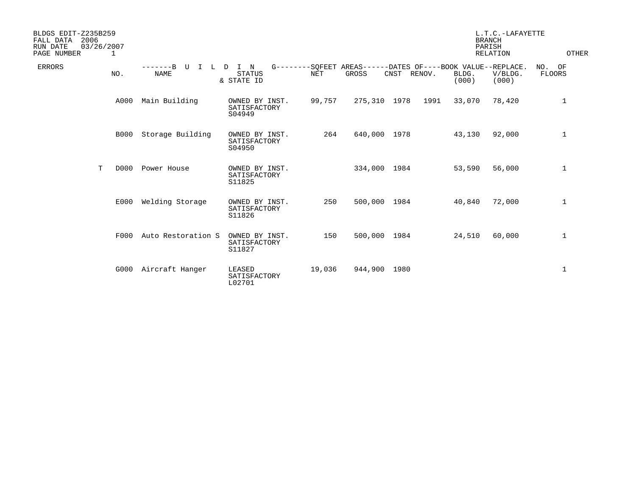| BLDGS EDIT-Z235B259<br>FALL DATA<br>2006<br>03/26/2007<br>RUN DATE<br>PAGE NUMBER<br>1 |             |                                                     |                                          |            |              |                                                                               |                | L.T.C.-LAFAYETTE<br><b>BRANCH</b><br>PARISH<br><b>RELATION</b> | OTHER                      |
|----------------------------------------------------------------------------------------|-------------|-----------------------------------------------------|------------------------------------------|------------|--------------|-------------------------------------------------------------------------------|----------------|----------------------------------------------------------------|----------------------------|
| <b>ERRORS</b>                                                                          | NO.         | $-----B$<br>U<br>L D<br>$\mathbb{I}$<br><b>NAME</b> | I N<br><b>STATUS</b><br>& STATE ID       | <b>NET</b> | GROSS        | G--------SQFEET AREAS------DATES OF----BOOK VALUE--REPLACE.<br>CNST<br>RENOV. | BLDG.<br>(000) | V/BLDG.<br>(000)                                               | NO.<br>OF<br><b>FLOORS</b> |
|                                                                                        | A000        | Main Building                                       | OWNED BY INST.<br>SATISFACTORY<br>S04949 | 99,757     | 275,310 1978 | 1991                                                                          | 33,070         | 78,420                                                         | 1                          |
|                                                                                        | <b>B000</b> | Storage Building                                    | OWNED BY INST.<br>SATISFACTORY<br>S04950 | 264        | 640,000 1978 |                                                                               | 43,130         | 92,000                                                         | $\mathbf 1$                |
| T                                                                                      | D000        | Power House                                         | OWNED BY INST.<br>SATISFACTORY<br>S11825 |            | 334,000 1984 |                                                                               | 53,590         | 56,000                                                         | $\mathbf 1$                |
|                                                                                        | E000        | Welding Storage                                     | OWNED BY INST.<br>SATISFACTORY<br>S11826 | 250        | 500,000 1984 |                                                                               | 40,840         | 72,000                                                         | $\mathbf 1$                |
|                                                                                        | F000        | Auto Restoration S                                  | OWNED BY INST.<br>SATISFACTORY<br>S11827 | 150        | 500,000 1984 |                                                                               | 24,510         | 60,000                                                         | $\mathbf 1$                |
|                                                                                        | G000        | Aircraft Hanger                                     | LEASED<br>SATISFACTORY<br>L02701         | 19,036     | 944,900 1980 |                                                                               |                |                                                                | 1                          |